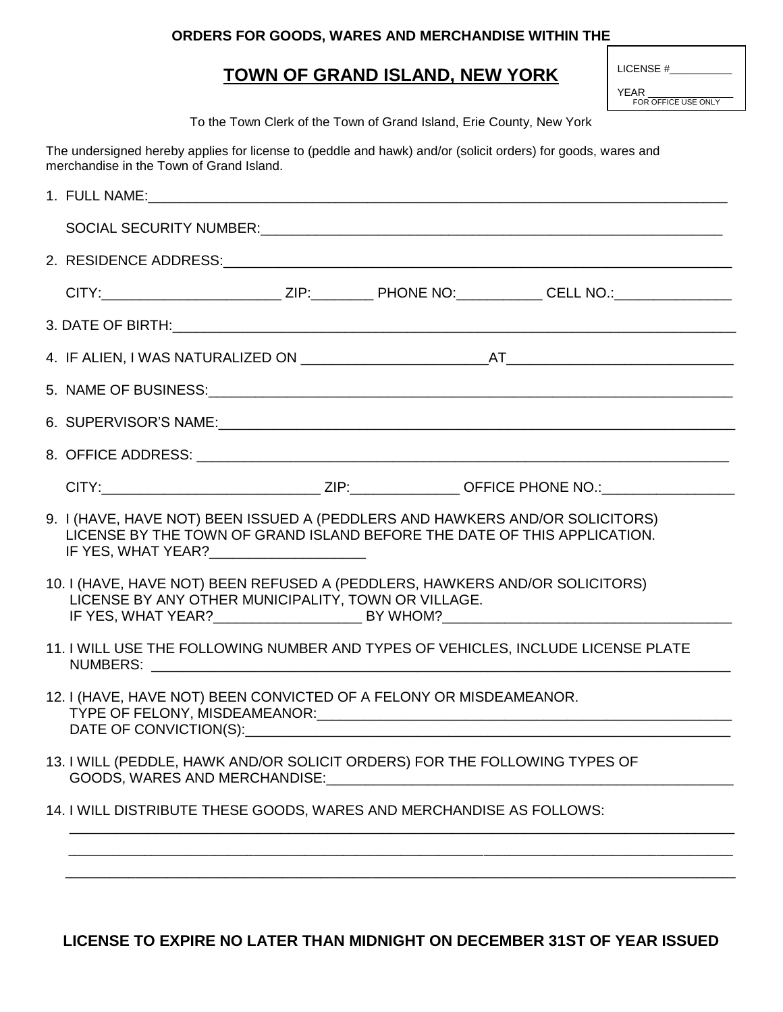## **ORDERS FOR GOODS, WARES AND MERCHANDISE WITHIN THE**

## **TOWN OF GRAND ISLAND, NEW YORK**

| LICENSE # |  |
|-----------|--|
|           |  |
|           |  |

YEAR FOR OFFICE USE ONLY

To the Town Clerk of the Town of Grand Island, Erie County, New York

The undersigned hereby applies for license to (peddle and hawk) and/or (solicit orders) for goods, wares and merchandise in the Town of Grand Island.

| 6. SUPERVISOR'S NAME: <u>Contained and the contained and the contained and the contained and the contained and the contained and the contained and the contained and the contained and the contact of the contact of the contact</u>                                                                               |
|--------------------------------------------------------------------------------------------------------------------------------------------------------------------------------------------------------------------------------------------------------------------------------------------------------------------|
|                                                                                                                                                                                                                                                                                                                    |
|                                                                                                                                                                                                                                                                                                                    |
| 9. I (HAVE, HAVE NOT) BEEN ISSUED A (PEDDLERS AND HAWKERS AND/OR SOLICITORS)<br>LICENSE BY THE TOWN OF GRAND ISLAND BEFORE THE DATE OF THIS APPLICATION.<br>IF YES, WHAT YEAR?_________________________                                                                                                            |
| 10. I (HAVE, HAVE NOT) BEEN REFUSED A (PEDDLERS, HAWKERS AND/OR SOLICITORS)<br>LICENSE BY ANY OTHER MUNICIPALITY, TOWN OR VILLAGE.                                                                                                                                                                                 |
| 11. I WILL USE THE FOLLOWING NUMBER AND TYPES OF VEHICLES, INCLUDE LICENSE PLATE<br>NUMBERS: WE ARRIVE TO A MARKET AND THE RESIDENCE OF A STREET OF THE RESIDENCE OF A STREET OF THE RESIDENCE OF THE RESIDENCE OF A STREET OF THE RESIDENCE OF THE RESIDENCE OF A STREET OF THE RESIDENCE OF THE RESIDENCE OF THE |
| 12. I (HAVE, HAVE NOT) BEEN CONVICTED OF A FELONY OR MISDEAMEANOR.<br>TYPE OF FELONY, MISDEAMEANOR:                                                                                                                                                                                                                |
| 13. I WILL (PEDDLE, HAWK AND/OR SOLICIT ORDERS) FOR THE FOLLOWING TYPES OF<br>GOODS, WARES AND MERCHANDISE:                                                                                                                                                                                                        |
| 14. I WILL DISTRIBUTE THESE GOODS, WARES AND MERCHANDISE AS FOLLOWS:                                                                                                                                                                                                                                               |
|                                                                                                                                                                                                                                                                                                                    |
|                                                                                                                                                                                                                                                                                                                    |

**LICENSE TO EXPIRE NO LATER THAN MIDNIGHT ON DECEMBER 31ST OF YEAR ISSUED**